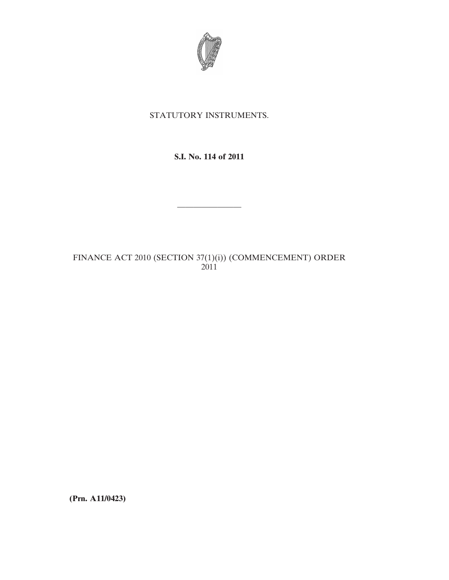

## STATUTORY INSTRUMENTS.

## **S.I. No. 114 of 2011**

————————

# FINANCE ACT 2010 (SECTION 37(1)(i)) (COMMENCEMENT) ORDER 2011

**(Prn. A11/0423)**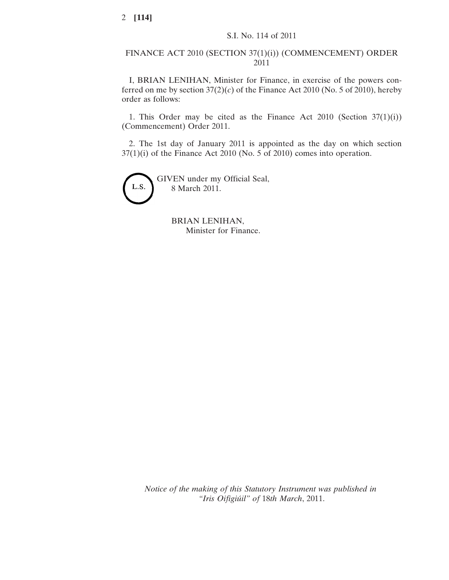### FINANCE ACT 2010 (SECTION 37(1)(i)) (COMMENCEMENT) ORDER 2011

I, BRIAN LENIHAN, Minister for Finance, in exercise of the powers conferred on me by section  $37(2)(c)$  of the Finance Act 2010 (No. 5 of 2010), hereby order as follows:

1. This Order may be cited as the Finance Act 2010 (Section  $37(1)(i)$ ) (Commencement) Order 2011.

2. The 1st day of January 2011 is appointed as the day on which section 37(1)(i) of the Finance Act 2010 (No. 5 of 2010) comes into operation.



BRIAN LENIHAN, Minister for Finance.

*Notice of the making of this Statutory Instrument was published in "Iris Oifigiúil" of* 18*th March*, 2011.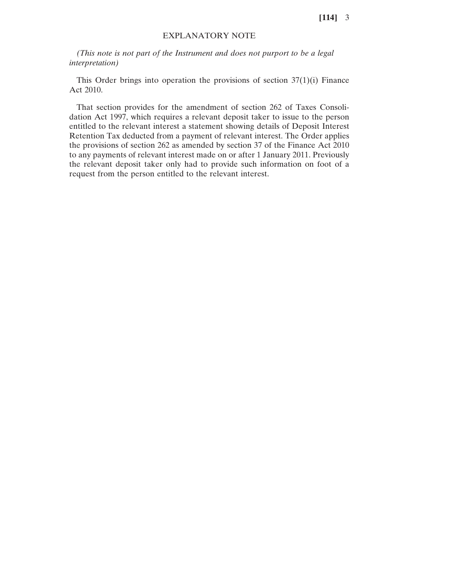#### EXPLANATORY NOTE

*(This note is not part of the Instrument and does not purport to be a legal interpretation)*

This Order brings into operation the provisions of section  $37(1)(i)$  Finance Act 2010.

That section provides for the amendment of section 262 of Taxes Consolidation Act 1997, which requires a relevant deposit taker to issue to the person entitled to the relevant interest a statement showing details of Deposit Interest Retention Tax deducted from a payment of relevant interest. The Order applies the provisions of section 262 as amended by section 37 of the Finance Act 2010 to any payments of relevant interest made on or after 1 January 2011. Previously the relevant deposit taker only had to provide such information on foot of a request from the person entitled to the relevant interest.